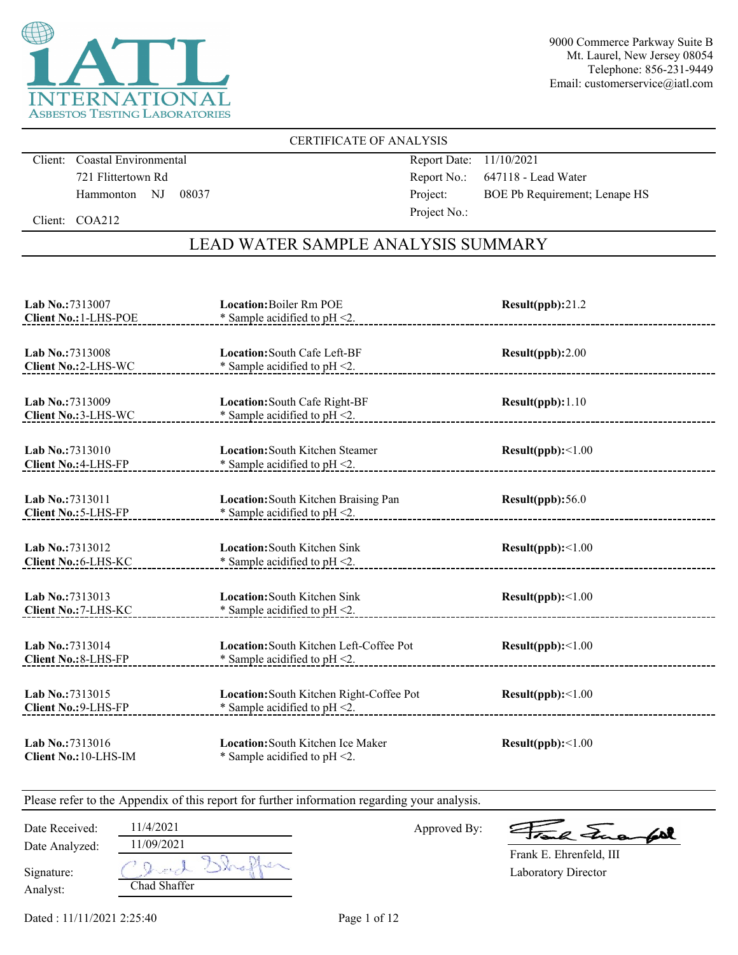

### CERTIFICATE OF ANALYSIS

Client: Coastal Environmental 721 Flittertown Rd Hammonton NJ 08037 Report Date: 11/10/2021 Report No.: 647118 - Lead Water Project: BOE Pb Requirement; Lenape HS Project No.:

Client: COA212

## LEAD WATER SAMPLE ANALYSIS SUMMARY

| Lab No.:7313007                                 | <b>Location:</b> Boiler Rm POE                                               | Result(ppb):21.2         |
|-------------------------------------------------|------------------------------------------------------------------------------|--------------------------|
| Client No.: 1-LHS-POE                           | * Sample acidified to pH <2.                                                 |                          |
| Lab No.:7313008                                 | Location: South Cafe Left-BF                                                 | Result(ppb):2.00         |
| Client No.: 2-LHS-WC                            | * Sample acidified to $pH < 2$ .                                             | -----------------------  |
| Lab No.:7313009                                 | Location: South Cafe Right-BF                                                | Result(ppb): 1.10        |
| Client No.: 3-LHS-WC                            | * Sample acidified to $pH < 2$ .                                             |                          |
| Lab No.:7313010                                 | <b>Location:</b> South Kitchen Steamer                                       | Result(ppb):<1.00        |
| Client No.: 4-LHS-FP                            | * Sample acidified to $pH < 2$ .                                             |                          |
| Lab No.: 7313011                                | Location: South Kitchen Braising Pan                                         | Result(ppb):56.0         |
| Client No.: 5-LHS-FP                            | * Sample acidified to $pH < 2$ .                                             |                          |
| Lab No.:7313012<br>Client No.: 6-LHS-KC         | <b>Location:</b> South Kitchen Sink<br>* Sample acidified to $pH < 2$ .      | Result(ppb):<1.00        |
| Lab No.: 7313013<br>Client No.: 7-LHS-KC        | <b>Location:</b> South Kitchen Sink<br>* Sample acidified to $pH < 2$ .      | $Result(ppb): \leq 1.00$ |
| Lab No.: 7313014<br>Client No.: 8-LHS-FP        | Location: South Kitchen Left-Coffee Pot<br>* Sample acidified to $pH < 2$ .  | Result(ppb):<1.00        |
| Lab No.: 7313015<br><b>Client No.: 9-LHS-FP</b> | Location: South Kitchen Right-Coffee Pot<br>* Sample acidified to $pH < 2$ . | Result(ppb):<1.00        |
| Lab No.: 7313016<br>Client No.: 10-LHS-IM       | Location: South Kitchen Ice Maker<br>* Sample acidified to $pH < 2$ .        | Result(ppb):<1.00        |

| Date Received: | 11/4/2021    | Approved By: | Frank Fuerful              |
|----------------|--------------|--------------|----------------------------|
| Date Analyzed: | 1/09/2021    |              |                            |
|                |              |              | Frank E. Ehrenfeld, III    |
| Signature:     | Oracl:       |              | <b>Laboratory Director</b> |
| Analyst:       | Chad Shaffer |              |                            |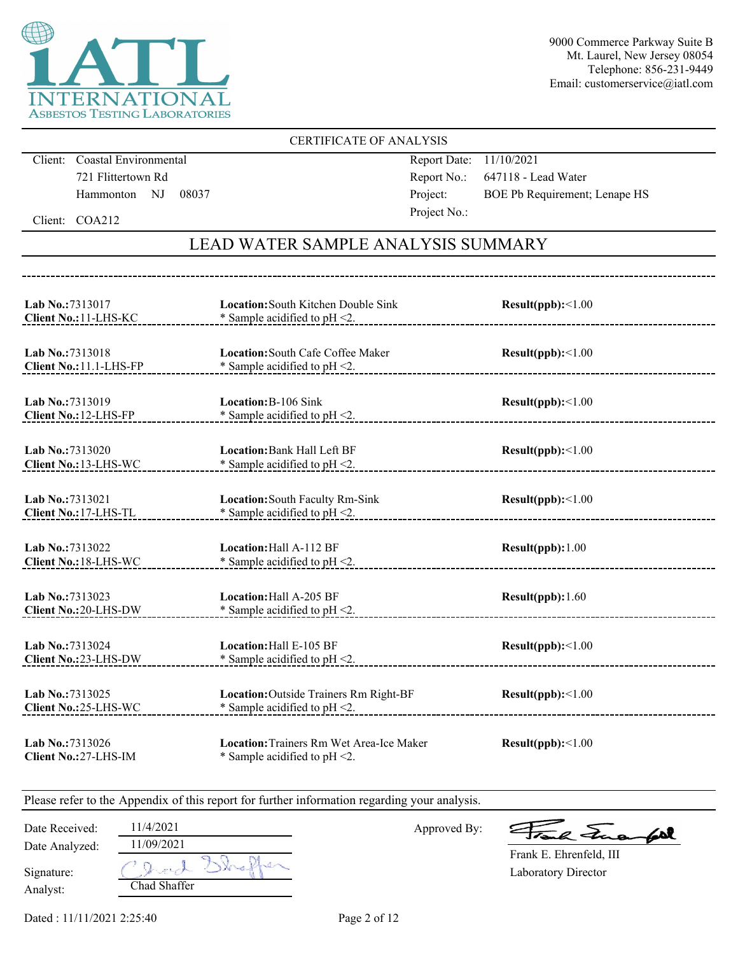

### CERTIFICATE OF ANALYSIS

Client: Coastal Environmental 721 Flittertown Rd Hammonton NJ 08037

------------------------------------

Report Date: 11/10/2021 Report No.: 647118 - Lead Water Project: BOE Pb Requirement; Lenape HS Project No.:

Client: COA212

## LEAD WATER SAMPLE ANALYSIS SUMMARY

| Lab No.:7313017<br>Client No.: 11-LHS-KC    | Location: South Kitchen Double Sink<br>* Sample acidified to $pH < 2$ .      | Result(ppb):<1.00        |
|---------------------------------------------|------------------------------------------------------------------------------|--------------------------|
| Lab No.: 7313018<br>Client No.: 11.1-LHS-FP | Location: South Cafe Coffee Maker<br>* Sample acidified to $pH < 2$ .        | Result(ppb):<1.00        |
| Lab No.:7313019<br>Client No.: 12-LHS-FP    | Location: B-106 Sink<br>* Sample acidified to $pH < 2$ .                     | Result(ppb):<1.00        |
| Lab No.:7313020<br>Client No.: 13-LHS-WC    | Location: Bank Hall Left BF<br>* Sample acidified to $pH < 2$ .              | Result(ppb):<1.00        |
| Lab No.: 7313021<br>Client No.: 17-LHS-TL   | Location: South Faculty Rm-Sink<br>* Sample acidified to $pH < 2$ .          | Result(ppb):<1.00        |
| Lab No.:7313022<br>Client No.: 18-LHS-WC    | Location: Hall A-112 BF<br>* Sample acidified to $pH < 2$ .                  | Result(ppb): 1.00        |
| Lab No.:7313023<br>Client No.: 20-LHS-DW    | Location: Hall A-205 BF<br>* Sample acidified to $pH < 2$ .                  | Result(ppb): 1.60        |
| Lab No.: 7313024<br>Client No.:23-LHS-DW    | Location: Hall E-105 BF<br>* Sample acidified to $pH < 2$ .                  | $Result(ppb): \leq 1.00$ |
| Lab No.: 7313025<br>Client No.: 25-LHS-WC   | Location: Outside Trainers Rm Right-BF<br>* Sample acidified to pH <2.       | Result(ppb):<1.00        |
| Lab No.:7313026<br>Client No.: 27-LHS-IM    | Location: Trainers Rm Wet Area-Ice Maker<br>* Sample acidified to $pH < 2$ . | Result(ppb):<1.00        |

| Date Received: | 11/4/2021    | Approved By: | Frank Fuerfil              |
|----------------|--------------|--------------|----------------------------|
| Date Analyzed: | 11/09/2021   |              | Frank E. Ehrenfeld, III    |
|                |              |              |                            |
| Signature:     | grad         |              | <b>Laboratory Director</b> |
| Analyst:       | Chad Shaffer |              |                            |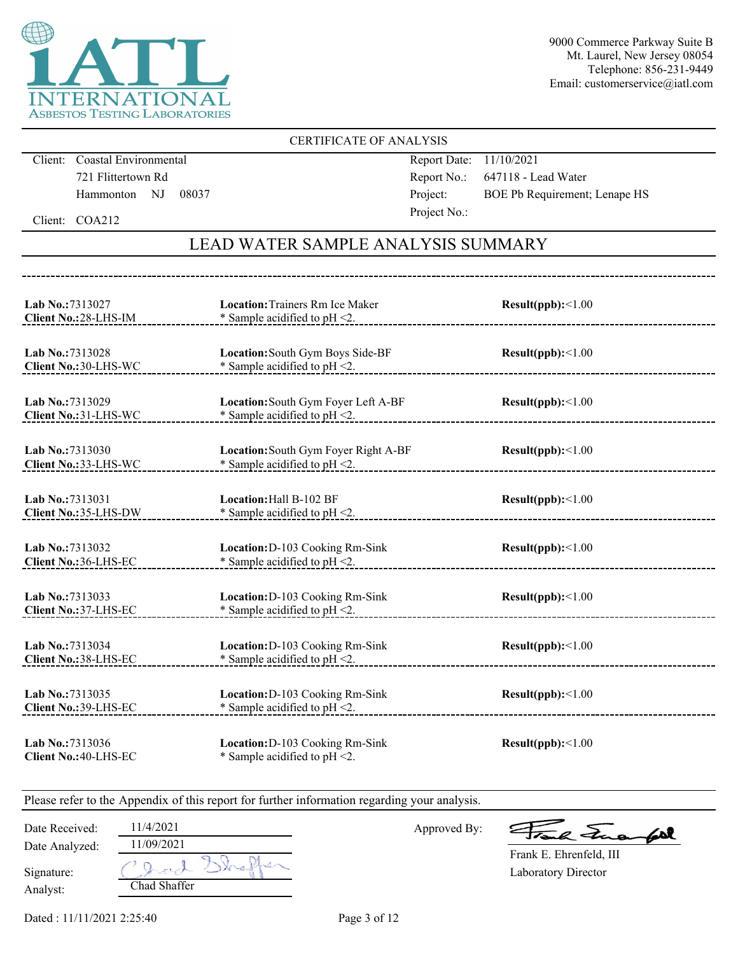

### CERTIFICATE OF ANALYSIS

Client: Coastal Environmental 721 Flittertown Rd Hammonton NJ 08037

Report Date: 11/10/2021 Report No.: 647118 - Lead Water Project: BOE Pb Requirement; Lenape HS Project No.:

Client: COA212

## LEAD WATER SAMPLE ANALYSIS SUMMARY

| Lab No.:7313027<br>Client No.: 28-LHS-IM        | <b>Location: Trainers Rm Ice Maker</b><br>* Sample acidified to $pH < 2$ . | Result(ppb):<1.00 |
|-------------------------------------------------|----------------------------------------------------------------------------|-------------------|
| Lab No.:7313028<br>Client No.: 30-LHS-WC        | Location: South Gym Boys Side-BF<br>* Sample acidified to $pH < 2$ .       | Result(ppb):<1.00 |
| Lab No.:7313029<br>Client No.: 31-LHS-WC        | Location: South Gym Foyer Left A-BF<br>* Sample acidified to $pH < 2$ .    | Result(ppb):<1.00 |
| Lab No.:7313030<br>Client No.: 33-LHS-WC        | Location: South Gym Foyer Right A-BF<br>* Sample acidified to $pH < 2$ .   | Result(ppb):<1.00 |
| Lab No.:7313031<br>Client No.:35-LHS-DW         | Location: Hall B-102 BF<br>* Sample acidified to $pH < 2$ .                | Result(ppb):<1.00 |
| Lab No.:7313032<br>Client No.:36-LHS-EC         | Location: D-103 Cooking Rm-Sink<br>* Sample acidified to pH <2.            | Result(ppb):<1.00 |
| Lab No.:7313033<br>Client No.: 37-LHS-EC        | Location: D-103 Cooking Rm-Sink<br>* Sample acidified to $pH < 2$ .        | Result(ppb):<1.00 |
| Lab No.:7313034<br>Client No.:38-LHS-EC         | Location: D-103 Cooking Rm-Sink<br>* Sample acidified to $pH < 2$ .        | Result(ppb):<1.00 |
| Lab No.:7313035<br>Client No.: 39-LHS-EC        | Location: D-103 Cooking Rm-Sink<br>* Sample acidified to $pH < 2$ .        | Result(ppb):<1.00 |
| Lab No.:7313036<br><b>Client No.: 40-LHS-EC</b> | Location: D-103 Cooking Rm-Sink<br>* Sample acidified to $pH < 2$ .        | Result(ppb):<1.00 |

| Date Received: | 1/4/2021     | Approved By: | Frank Finangel          |
|----------------|--------------|--------------|-------------------------|
| Date Analyzed: | 1/09/2021    |              | Frank E. Ehrenfeld, III |
| Signature:     | Object       |              | Laboratory Director     |
| Analyst:       | Chad Shaffer |              |                         |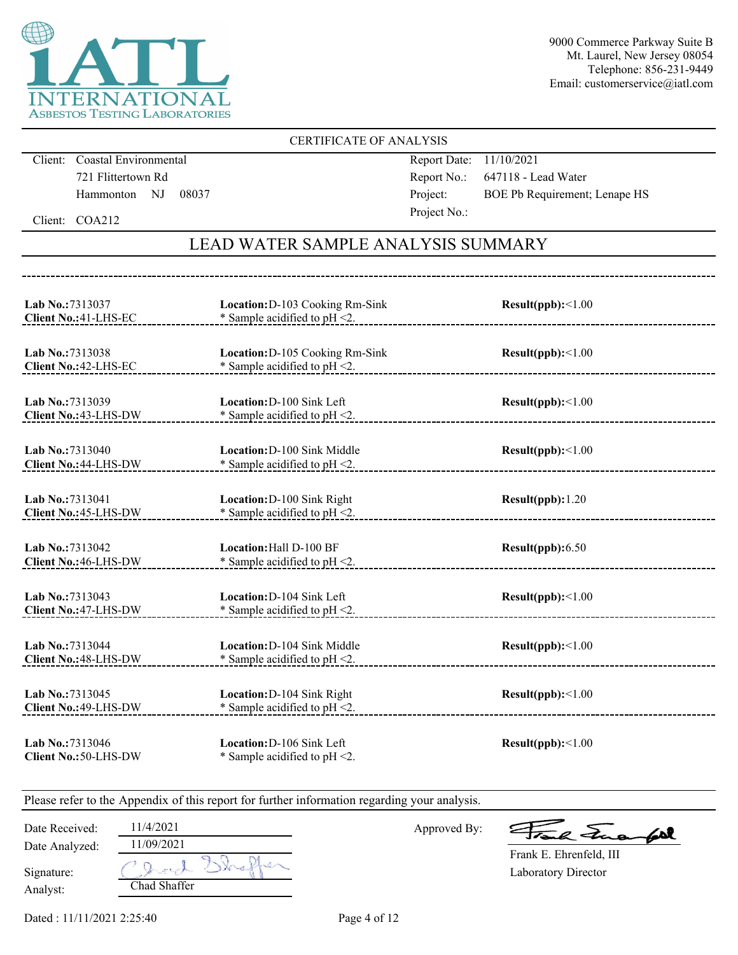

### CERTIFICATE OF ANALYSIS

Client: Coastal Environmental 721 Flittertown Rd Hammonton NJ 08037

----------------------------------

Report Date: 11/10/2021 Report No.: 647118 - Lead Water Project: BOE Pb Requirement; Lenape HS Project No.:

Client: COA212

## LEAD WATER SAMPLE ANALYSIS SUMMARY

| Lab No.:7313037<br>Client No.: 41-LHS-EC         | Location: D-103 Cooking Rm-Sink<br>* Sample acidified to pH <2.        | Result(ppb):<1.00 |
|--------------------------------------------------|------------------------------------------------------------------------|-------------------|
| Lab No.: 7313038<br>Client No.: 42-LHS-EC        | Location: D-105 Cooking Rm-Sink<br>* Sample acidified to $pH < 2$ .    | Result(ppb):<1.00 |
| Lab No.:7313039<br>Client No.: 43-LHS-DW         | Location: D-100 Sink Left<br>* Sample acidified to $pH < 2$ .          | Result(ppb):<1.00 |
| Lab No.:7313040<br>Client No.: 44-LHS-DW         | Location: D-100 Sink Middle<br>* Sample acidified to $pH < 2$ .        | Result(ppb):<1.00 |
| Lab No.:7313041<br>Client No.: 45-LHS-DW         | Location: D-100 Sink Right<br>* Sample acidified to pH <2.             | Result(ppb): 1.20 |
| Lab No.: 7313042<br><b>Client No.: 46-LHS-DW</b> | <b>Location: Hall D-100 BF</b><br>* Sample acidified to $pH < 2$ .     | Result(ppb): 6.50 |
| Lab No.: 7313043<br>Client No.: 47-LHS-DW        | Location: D-104 Sink Left<br>* Sample acidified to pH <2.              | Result(ppb):<1.00 |
| Lab No.: 7313044<br><b>Client No.: 48-LHS-DW</b> | <b>Location: D-104 Sink Middle</b><br>* Sample acidified to $pH < 2$ . | Result(ppb):<1.00 |
| Lab No.: 7313045<br>Client No.: 49-LHS-DW        | Location: D-104 Sink Right<br>* Sample acidified to $pH < 2$ .         | Result(ppb):<1.00 |
| Lab No.: 7313046<br><b>Client No.: 50-LHS-DW</b> | Location: D-106 Sink Left<br>* Sample acidified to $pH < 2$ .          | Result(ppb):<1.00 |

| Date Received: | 11/4/2021<br>11/09/2021 | Approved By: | Frank Frank             |
|----------------|-------------------------|--------------|-------------------------|
| Date Analyzed: |                         |              | Frank E. Ehrenfeld, III |
| Signature:     | O Jurch Shaffer         |              | Laboratory Director     |
| Analyst:       | Chad Shaffer            |              |                         |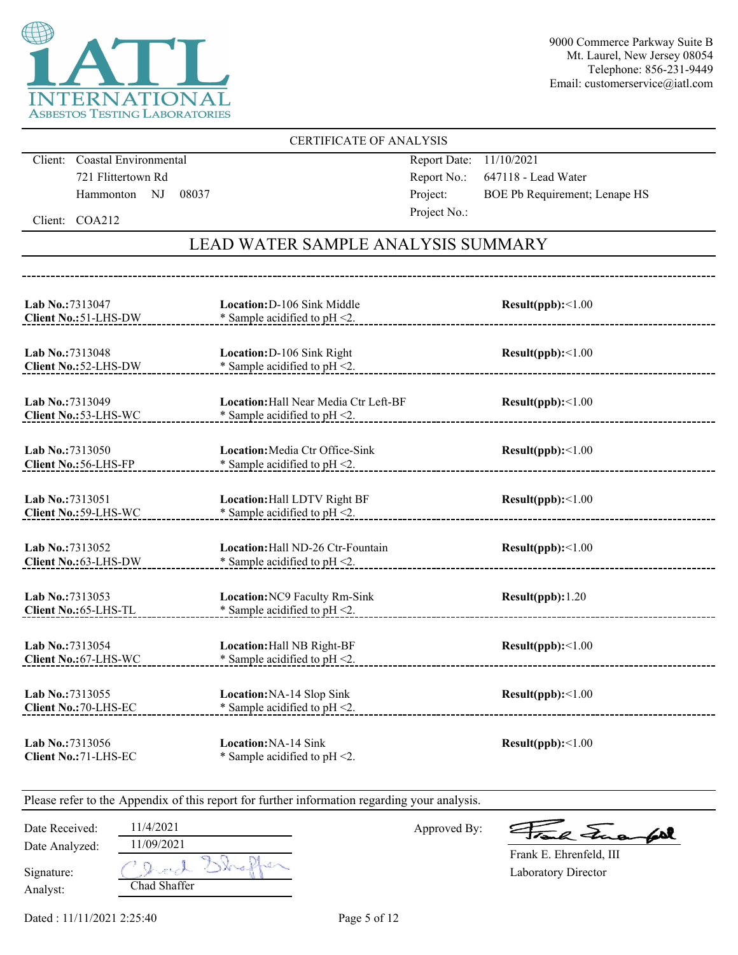

### CERTIFICATE OF ANALYSIS

Client: Coastal Environmental 721 Flittertown Rd Hammonton NJ 08037

-----------------------------------

Report Date: 11/10/2021 Report No.: 647118 - Lead Water Project: BOE Pb Requirement; Lenape HS Project No.:

Client: COA212

## LEAD WATER SAMPLE ANALYSIS SUMMARY

| Lab No.: 7313047<br>Client No.: 51-LHS-DW | Location: D-106 Sink Middle<br>* Sample acidified to $pH < 2$ .            | Result(ppb):<1.00 |  |
|-------------------------------------------|----------------------------------------------------------------------------|-------------------|--|
| Lab No.: 7313048<br>Client No.: 52-LHS-DW | Location: D-106 Sink Right<br>* Sample acidified to $pH < 2$ .             | Result(ppb):<1.00 |  |
| Lab No.:7313049<br>Client No.: 53-LHS-WC  | Location: Hall Near Media Ctr Left-BF<br>* Sample acidified to $pH < 2$ .  | Result(ppb):<1.00 |  |
| Lab No.:7313050<br>Client No.: 56-LHS-FP  | <b>Location:</b> Media Ctr Office-Sink<br>* Sample acidified to $pH < 2$ . | Result(ppb):<1.00 |  |
| Lab No.:7313051<br>Client No.: 59-LHS-WC  | Location: Hall LDTV Right BF<br>* Sample acidified to $pH < 2$ .           | Result(ppb):<1.00 |  |
| Lab No.:7313052<br>Client No.:63-LHS-DW   | Location: Hall ND-26 Ctr-Fountain<br>* Sample acidified to $pH < 2$ .      | Result(ppb):<1.00 |  |
| Lab No.:7313053<br>Client No.: 65-LHS-TL  | Location: NC9 Faculty Rm-Sink<br>* Sample acidified to $pH < 2$ .          | Result(ppb): 1.20 |  |
| Lab No.:7313054<br>Client No.: 67-LHS-WC  | Location: Hall NB Right-BF<br>$*$ Sample acidified to pH <2.               | Result(ppb):<1.00 |  |
| Lab No.: 7313055<br>Client No.: 70-LHS-EC | Location: NA-14 Slop Sink<br>* Sample acidified to $pH < 2$ .              | Result(ppb):<1.00 |  |
| Lab No.:7313056<br>Client No.: 71-LHS-EC  | Location: NA-14 Sink<br>* Sample acidified to $pH < 2$ .                   | Result(ppb):<1.00 |  |

|  |  |  |  |  | Please refer to the Appendix of this report for further information regarding your analysis. |  |  |
|--|--|--|--|--|----------------------------------------------------------------------------------------------|--|--|
|  |  |  |  |  |                                                                                              |  |  |
|  |  |  |  |  |                                                                                              |  |  |
|  |  |  |  |  |                                                                                              |  |  |

| Date Received:         | 11/4/2021               |
|------------------------|-------------------------|
| Date Analyzed:         | 11/09/2021              |
| Signature:<br>Analyst: | tra get<br>Chad Shaffer |

Approved By:

Frank Frankel

Laboratory Director Frank E. Ehrenfeld, III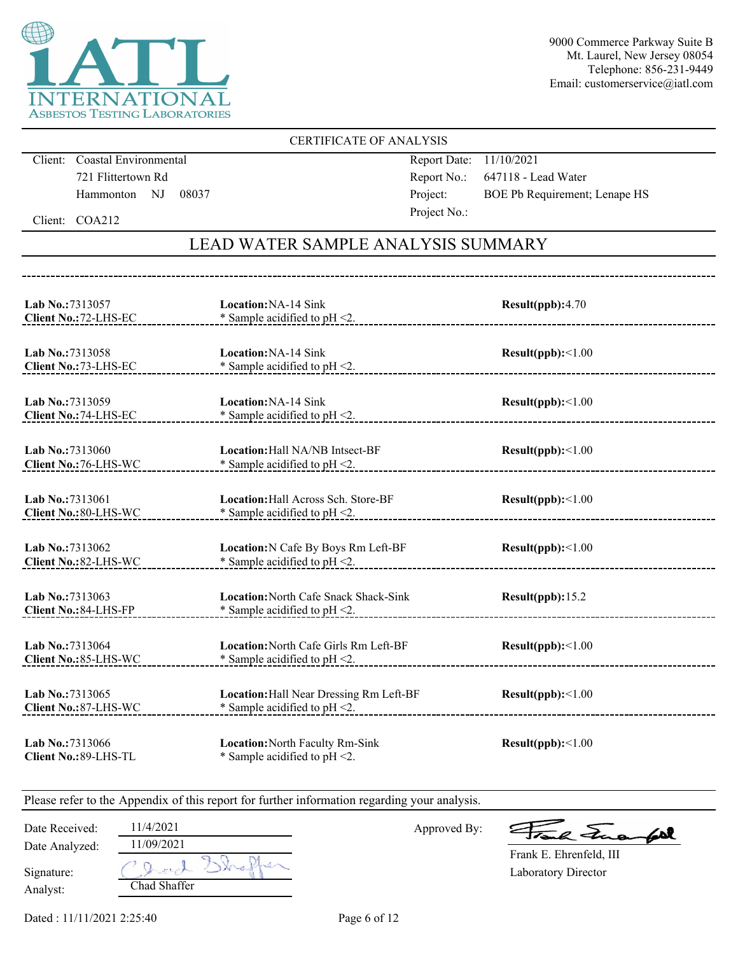

### CERTIFICATE OF ANALYSIS

Client: Coastal Environmental 721 Flittertown Rd Hammonton NJ 08037

Report Date: 11/10/2021 Report No.: 647118 - Lead Water Project: BOE Pb Requirement; Lenape HS Project No.:

Client: COA212

## LEAD WATER SAMPLE ANALYSIS SUMMARY

| Lab No.:7313057<br>Client No.: 72-LHS-EC        | Location: NA-14 Sink<br>* Sample acidified to pH <2.                               | Result(ppb):4.70  |
|-------------------------------------------------|------------------------------------------------------------------------------------|-------------------|
| Lab No.: 7313058<br>Client No.: 73-LHS-EC       | Location: NA-14 Sink<br>* Sample acidified to pH <2.                               | Result(ppb):<1.00 |
| Lab No.:7313059<br><b>Client No.: 74-LHS-EC</b> | <b>Location: NA-14 Sink</b><br>* Sample acidified to $pH < 2$ .                    | Result(ppb):<1.00 |
| Lab No.:7313060<br>Client No.: 76-LHS-WC        | <b>Location:</b> Hall NA/NB Intsect-BF<br>* Sample acidified to $pH < 2$ .         | Result(ppb):<1.00 |
| Lab No.: 7313061<br>Client No.: 80-LHS-WC       | <b>Location:</b> Hall Across Sch. Store-BF<br>* Sample acidified to pH <2.         | Result(ppb):<1.00 |
| Lab No.:7313062<br>Client No.: 82-LHS-WC        | Location: N Cafe By Boys Rm Left-BF<br>$*$ Sample acidified to pH <2.              | Result(ppb):<1.00 |
| Lab No.:7313063<br>Client No.: 84-LHS-FP        | <b>Location: North Cafe Snack Shack-Sink</b><br>$*$ Sample acidified to pH <2.     | Result(ppb): 15.2 |
| Lab No.: 7313064<br>Client No.: 85-LHS-WC       | Location: North Cafe Girls Rm Left-BF<br>* Sample acidified to pH <2.              | Result(ppb):<1.00 |
| Lab No.: 7313065<br>Client No.: 87-LHS-WC       | <b>Location:</b> Hall Near Dressing Rm Left-BF<br>* Sample acidified to $pH < 2$ . | Result(ppb):<1.00 |
| Lab No.:7313066<br>Client No.: 89-LHS-TL        | Location: North Faculty Rm-Sink<br>* Sample acidified to $pH < 2$ .                | Result(ppb):<1.00 |

| Date Received: | 11/4/2021<br>11/09/2021 | Approved By: | Frank Fuerfall          |
|----------------|-------------------------|--------------|-------------------------|
| Date Analyzed: |                         |              | Frank E. Ehrenfeld, III |
| Signature:     |                         |              | Laboratory Director     |
| Analyst:       | Chad Shaffer            |              |                         |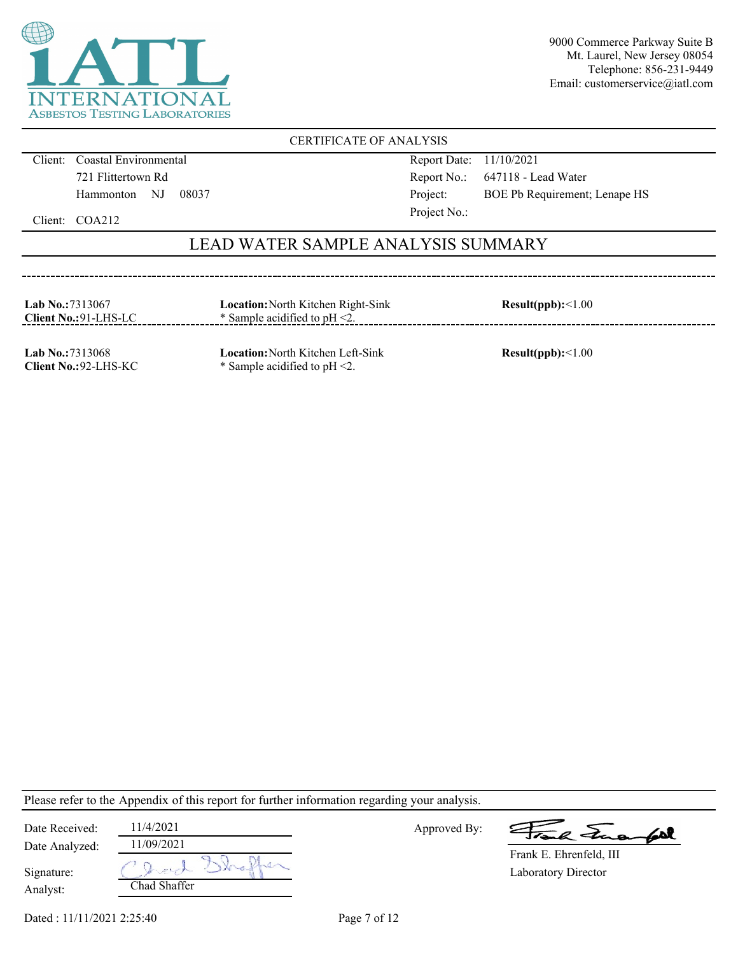

### CERTIFICATE OF ANALYSIS

Client: Coastal Environmental 721 Flittertown Rd Hammonton NJ 08037

-------------------------------------

Report Date: 11/10/2021 Report No.: 647118 - Lead Water Project: BOE Pb Requirement; Lenape HS Project No.:

Client: COA212

### LEAD WATER SAMPLE ANALYSIS SUMMARY

| Lab No.: $7313067$<br>Client No.:91-LHS-LC | <b>Location:</b> North Kitchen Right-Sink<br>$\ast$ Sample acidified to pH $\leq$ . | Result(ppb):<1.00 |
|--------------------------------------------|-------------------------------------------------------------------------------------|-------------------|
|                                            |                                                                                     |                   |

**Lab No.:**7313068 **Client No.:**92-LHS-KC **Location:**North Kitchen Left-Sink \* Sample acidified to pH <2.

**Result(ppb):**<1.00

| Date Received: | 11/4/2021    | Approved By: | Frank Funantel          |
|----------------|--------------|--------------|-------------------------|
| Date Analyzed: | 11/09/2021   |              | Frank E. Ehrenfeld, III |
|                |              |              |                         |
| Signature:     | grad         |              | Laboratory Director     |
| Analyst:       | Chad Shaffer |              |                         |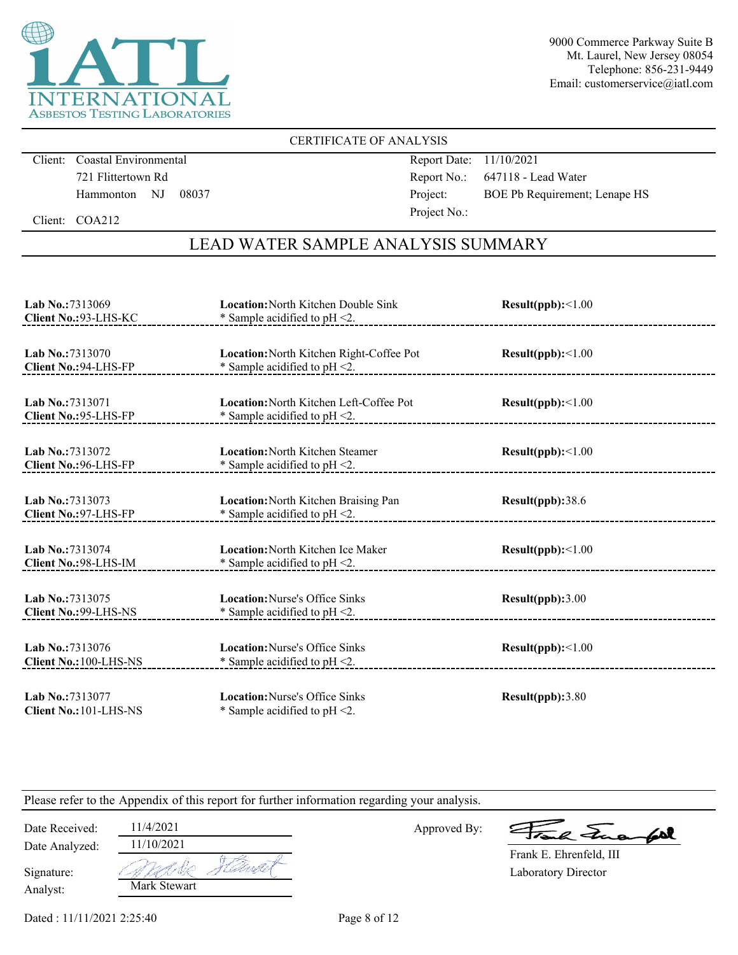

### CERTIFICATE OF ANALYSIS

Client: Coastal Environmental 721 Flittertown Rd Hammonton NJ 08037 Report Date: 11/10/2021 Report No.: 647118 - Lead Water Project: BOE Pb Requirement; Lenape HS Project No.:

Client: COA212

## LEAD WATER SAMPLE ANALYSIS SUMMARY

| Lab No.:7313069                            | <b>Location: North Kitchen Double Sink</b>                                | Result(ppb):<1.00 |
|--------------------------------------------|---------------------------------------------------------------------------|-------------------|
| Client No.: 93-LHS-KC                      | * Sample acidified to $pH < 2$ .                                          |                   |
| Lab No.:7313070                            | Location: North Kitchen Right-Coffee Pot                                  | Result(ppb):<1.00 |
| Client No.: 94-LHS-FP                      | * Sample acidified to $pH < 2$ .                                          |                   |
| Lab No.:7313071                            | <b>Location: North Kitchen Left-Coffee Pot</b>                            | Result(ppb):<1.00 |
| Client No.: 95-LHS-FP                      | * Sample acidified to $pH < 2$ .                                          |                   |
| Lab No.:7313072                            | <b>Location:</b> North Kitchen Steamer                                    | Result(ppb):<1.00 |
| Client No.: 96-LHS-FP                      | * Sample acidified to $pH < 2$ .                                          |                   |
| Lab No.:7313073                            | Location: North Kitchen Braising Pan                                      | Result(ppb):38.6  |
| Client No.: 97-LHS-FP                      | * Sample acidified to pH <2.                                              |                   |
| Lab No.:7313074                            | <b>Location: North Kitchen Ice Maker</b>                                  | Result(ppb):<1.00 |
| Client No.: 98-LHS-IM                      | * Sample acidified to $pH < 2$ .                                          |                   |
| Lab No.: 7313075                           | <b>Location:</b> Nurse's Office Sinks                                     | Result(ppb):3.00  |
| <b>Client No.: 99-LHS-NS</b>               | * Sample acidified to $pH < 2$ .                                          |                   |
| Lab No.: 7313076                           | <b>Location:</b> Nurse's Office Sinks                                     | Result(ppb):<1.00 |
| <b>Client No.: 100-LHS-NS</b>              | * Sample acidified to $pH < 2$ .                                          |                   |
| Lab No.: 7313077<br>Client No.: 101-LHS-NS | <b>Location:</b> Nurse's Office Sinks<br>* Sample acidified to $pH < 2$ . | Result(ppb):3.80  |

Please refer to the Appendix of this report for further information regarding your analysis.

Date Analyzed: Date Received: 11/4/2021

Analyst:

Signature:

| 11772021     |  |
|--------------|--|
| 11/10/2021   |  |
|              |  |
| Mark Stewart |  |

Approved By:

2 Tues fort

Laboratory Director Frank E. Ehrenfeld, III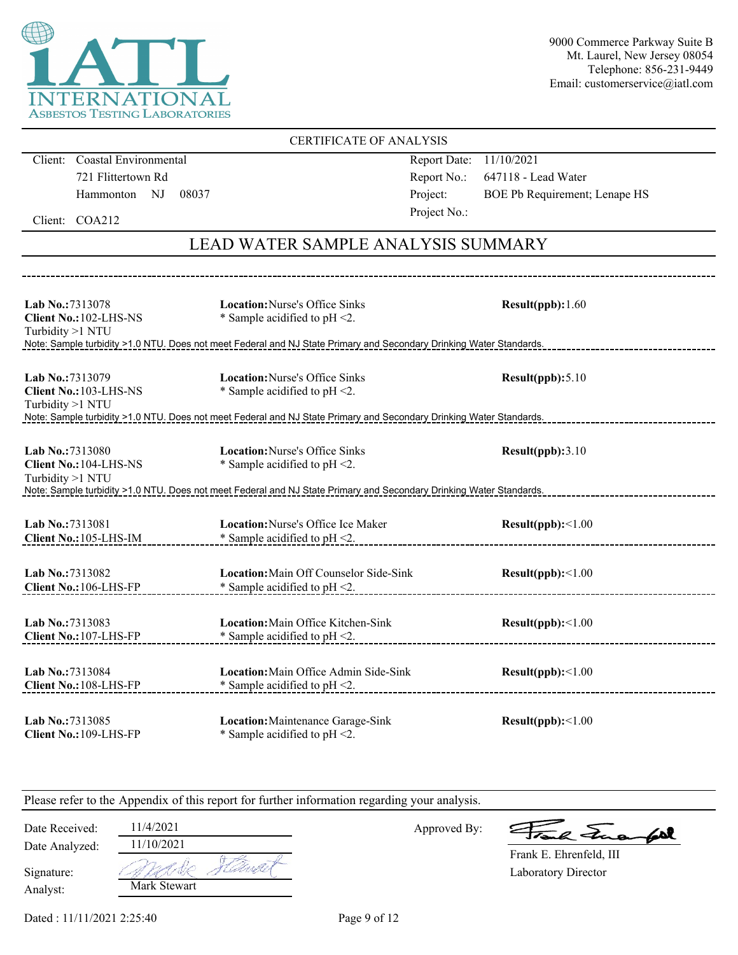

#### **Lab No.:**7313078 **Client No.:**102-LHS-NS Turbidity >1 NTU **Location:**Nurse's Office Sinks \* Sample acidified to pH <2. **Result(ppb):**1.60 Note: Sample turbidity >1.0 NTU. Does not meet Federal and NJ State Primary and Secondary Drinking Water Standards. **Lab No.:**7313079 **Client No.:**103-LHS-NS Turbidity >1 NTU **Location:**Nurse's Office Sinks \* Sample acidified to pH <2. **Result(ppb):**5.10 Note: Sample turbidity >1.0 NTU. Does not meet Federal and NJ State Primary and Secondary Drinking Water Standards. **Lab No.:**7313080 **Client No.:**104-LHS-NS Turbidity >1 NTU **Location:**Nurse's Office Sinks \* Sample acidified to pH <2. **Result(ppb):**3.10 Note: Sample turbidity >1.0 NTU. Does not meet Federal and NJ State Primary and Secondary Drinking Water Standards. **Lab No.:**7313081 **Client No.:**105-LHS-IM **Location:**Nurse's Office Ice Maker \* Sample acidified to pH <2. **Result(ppb):**<1.00 **Lab No.:**7313082 **Client No.:**106-LHS-FP **Location:**Main Off Counselor Side-Sink \* Sample acidified to pH <2. **Result(ppb):**<1.00 **Lab No.:**7313083 **Client No.:**107-LHS-FP **Location:**Main Office Kitchen-Sink \* Sample acidified to pH <2. **Result(ppb):**<1.00 **Lab No.:**7313084 **Client No.:**108-LHS-FP **Location:**Main Office Admin Side-Sink \* Sample acidified to pH <2. **Result(ppb):**<1.00 **Lab No.:**7313085 **Location:**Maintenance Garage-Sink **Result(ppb):**<1.00 CERTIFICATE OF ANALYSIS Client: Coastal Environmental 721 Flittertown Rd Hammonton NJ 08037 Report Date: 11/10/2021 Report No.: 647118 - Lead Water Project: BOE Pb Requirement; Lenape HS Project No.: LEAD WATER SAMPLE ANALYSIS SUMMARY Client: COA212

Please refer to the Appendix of this report for further information regarding your analysis.

\* Sample acidified to pH <2.

Approved By:

al Face

Laboratory Director Frank E. Ehrenfeld, III

| Date Analyzed: |  |
|----------------|--|
| Signature:     |  |

Analyst:

**Client No.:**109-LHS-FP

Date Received: 11/4/2021 Mark Stewart 11/10/2021

Dated : 11/11/2021 2:25:40 Page 9 of 12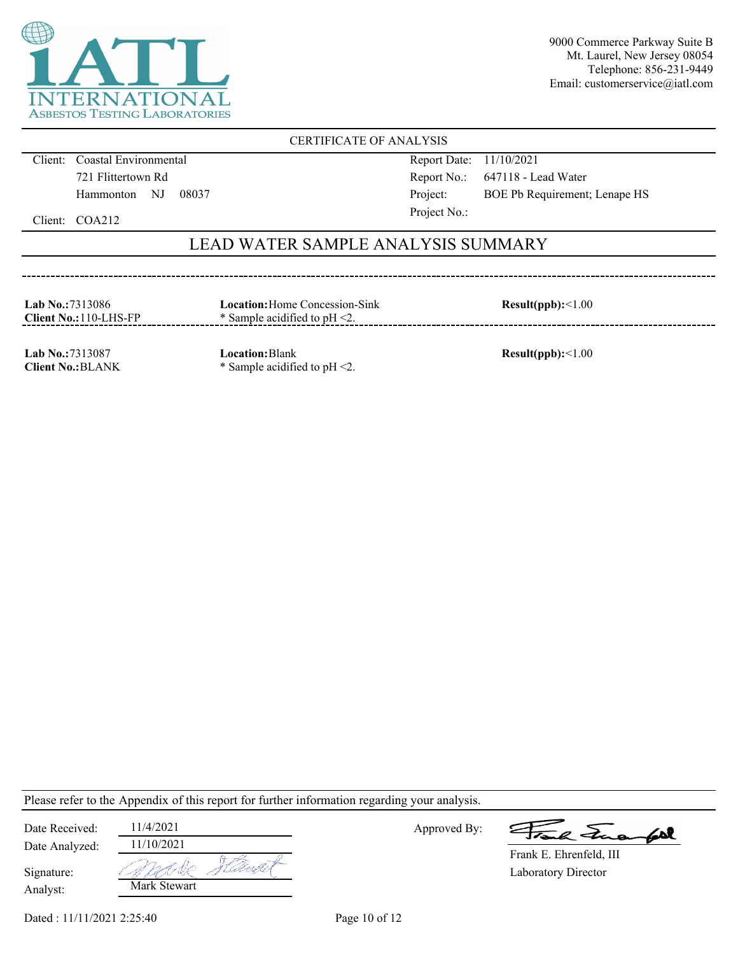

### CERTIFICATE OF ANALYSIS

Client: Coastal Environmental 721 Flittertown Rd Hammonton NJ 08037 Report Date: 11/10/2021 Report No.: 647118 - Lead Water Project: BOE Pb Requirement; Lenape HS Project No.:

Client: COA212

### LEAD WATER SAMPLE ANALYSIS SUMMARY

| <b>Lab No.:7313086</b><br>$Client No.:110-LHS-FP$ | <b>Location:</b> Home Concession-Sink<br>$*$ Sample acidified to pH $\leq$ . | Result(ppb):<1.00 |
|---------------------------------------------------|------------------------------------------------------------------------------|-------------------|
|                                                   |                                                                              |                   |

**Lab No.:**7313087 **Client No.:**BLANK **Location:**Blank \* Sample acidified to pH <2.

**Result(ppb):**<1.00

Please refer to the Appendix of this report for further information regarding your analysis.

| Date Received:         | 11/4/2021    |      |
|------------------------|--------------|------|
| Date Analyzed:         | 11/10/2021   |      |
| Signature:<br>Analyst: | Mark Stewart | Will |

Approved By:

le Frank

Laboratory Director Frank E. Ehrenfeld, III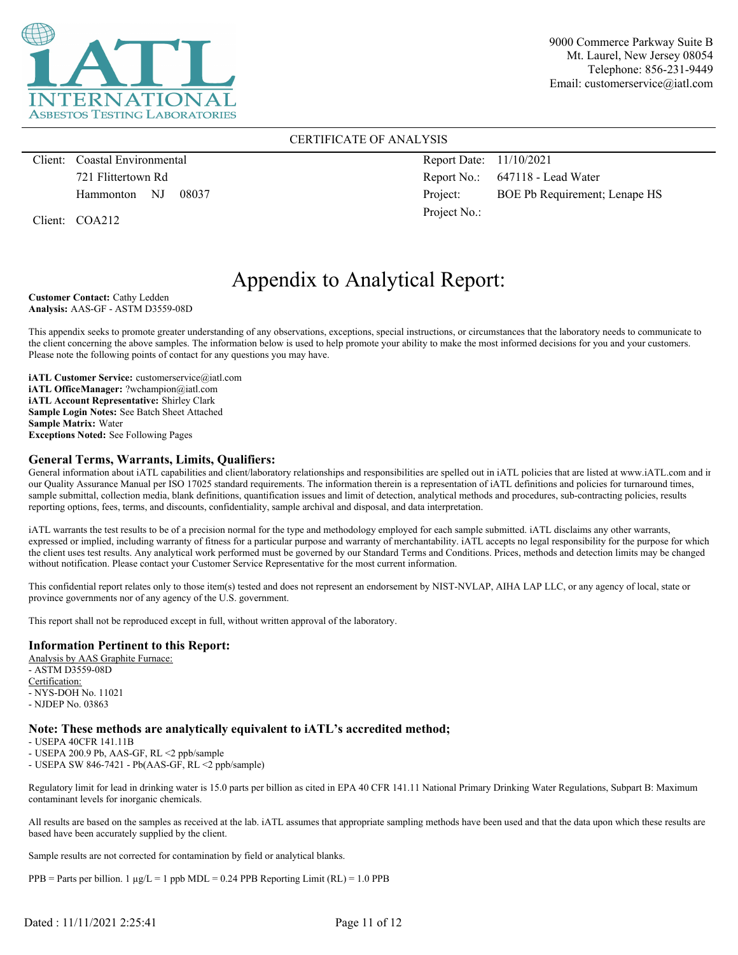

#### CERTIFICATE OF ANALYSIS

Client: Coastal Environmental 721 Flittertown Rd Hammonton NJ 08037

Client: COA212

Report Date: 11/10/2021 Report No.: 647118 - Lead Water Project: BOE Pb Requirement; Lenape HS Project No.:

# Appendix to Analytical Report:

**Customer Contact:** Cathy Ledden **Analysis:** AAS-GF - ASTM D3559-08D

This appendix seeks to promote greater understanding of any observations, exceptions, special instructions, or circumstances that the laboratory needs to communicate to the client concerning the above samples. The information below is used to help promote your ability to make the most informed decisions for you and your customers. Please note the following points of contact for any questions you may have.

**iATL Customer Service:** customerservice@iatl.com **iATL OfficeManager:** ?wchampion@iatl.com **iATL Account Representative:** Shirley Clark **Sample Login Notes:** See Batch Sheet Attached **Sample Matrix:** Water **Exceptions Noted:** See Following Pages

#### **General Terms, Warrants, Limits, Qualifiers:**

General information about iATL capabilities and client/laboratory relationships and responsibilities are spelled out in iATL policies that are listed at www.iATL.com and in our Quality Assurance Manual per ISO 17025 standard requirements. The information therein is a representation of iATL definitions and policies for turnaround times, sample submittal, collection media, blank definitions, quantification issues and limit of detection, analytical methods and procedures, sub-contracting policies, results reporting options, fees, terms, and discounts, confidentiality, sample archival and disposal, and data interpretation.

iATL warrants the test results to be of a precision normal for the type and methodology employed for each sample submitted. iATL disclaims any other warrants, expressed or implied, including warranty of fitness for a particular purpose and warranty of merchantability. iATL accepts no legal responsibility for the purpose for which the client uses test results. Any analytical work performed must be governed by our Standard Terms and Conditions. Prices, methods and detection limits may be changed without notification. Please contact your Customer Service Representative for the most current information.

This confidential report relates only to those item(s) tested and does not represent an endorsement by NIST-NVLAP, AIHA LAP LLC, or any agency of local, state or province governments nor of any agency of the U.S. government.

This report shall not be reproduced except in full, without written approval of the laboratory.

#### **Information Pertinent to this Report:**

Analysis by AAS Graphite Furnace: - ASTM D3559-08D Certification: - NYS-DOH No. 11021 - NJDEP No. 03863

#### **Note: These methods are analytically equivalent to iATL's accredited method;**

- USEPA 40CFR 141.11B

- USEPA 200.9 Pb, AAS-GF, RL <2 ppb/sample

- USEPA SW 846-7421 - Pb(AAS-GF, RL <2 ppb/sample)

Regulatory limit for lead in drinking water is 15.0 parts per billion as cited in EPA 40 CFR 141.11 National Primary Drinking Water Regulations, Subpart B: Maximum contaminant levels for inorganic chemicals.

All results are based on the samples as received at the lab. iATL assumes that appropriate sampling methods have been used and that the data upon which these results are based have been accurately supplied by the client.

Sample results are not corrected for contamination by field or analytical blanks.

 $PPB =$  Parts per billion. 1  $\mu g/L = 1$  ppb MDL = 0.24 PPB Reporting Limit (RL) = 1.0 PPB